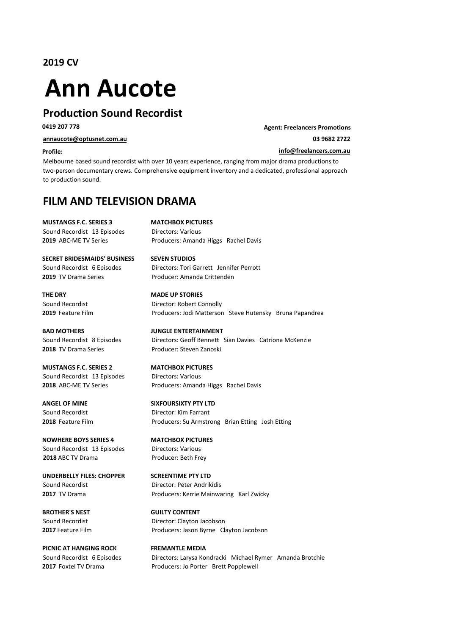**2019 CV**

# **Ann Aucote**

# **Production Sound Recordist**

**0419 207 778 Agent:** Freelancers Promotions

**annaucote@optusnet.com.au 03 9682 2722**

### **Profile: info@freelancers.com.au**

Melbourne based sound recordist with over 10 years experience, ranging from major drama productions to two-person documentary crews. Comprehensive equipment inventory and a dedicated, professional approach to production sound.

# **FILM AND TELEVISION DRAMA**

**MUSTANGS F.C. SERIES 3 MATCHBOX PICTURES**

Sound Recordist 13 Episodes Directors: Various **2019** ABC-ME TV Series **Producers:** Amanda Higgs Rachel Davis

**SECRET BRIDESMAIDS' BUSINESS SEVEN STUDIOS** Sound Recordist 6 Episodes Directors: Tori Garrett Jennifer Perrott **2019** TV Drama Series **Producer:** Amanda Crittenden

**THE DRY MADE UP STORIES** 

# **2018** TV Drama Series **Producer:** Steven Zanoski

**MUSTANGS F.C. SERIES 2 MATCHBOX PICTURES** Sound Recordist 13 Episodes Directors: Various

**NOWHERE BOYS SERIES 4 MATCHBOX PICTURES** Sound Recordist 13 Episodes Directors: Various **2018** ABC TV Drama Producer: Beth Frey

**UNDERBELLY FILES: CHOPPER SCREENTIME PTY LTD** Sound Recordist **Director:** Peter Andrikidis

**PICNIC AT HANGING ROCK FREMANTLE MEDIA** 

Sound Recordist **Director:** Robert Connolly **2019** Feature Film **Producers:** Jodi Matterson Steve Hutensky Bruna Papandrea **BAD MOTHERS DISCOMING BAD MOTHERS** Sound Recordist 8 Episodes Directors: Geoff Bennett Sian Davies Catriona McKenzie

**2018** ABC-ME TV Series **Producers:** Amanda Higgs Rachel Davis

### **ANGEL OF MINE SIXFOURSIXTY PTY LTD**

Sound Recordist **Director:** Kim Farrant **2018** Feature Film **Producers:** Su Armstrong Brian Etting Josh Etting

**2017** TV Drama **Producers:** Kerrie Mainwaring Karl Zwicky

**BROTHER'S NEST GUILTY CONTENT** Sound Recordist **Director:** Clayton Jacobson **2017** Feature Film **Producers:** Jason Byrne Clayton Jacobson

Sound Recordist 6 Episodes Directors: Larysa Kondracki Michael Rymer Amanda Brotchie **2017** Foxtel TV Drama **Producers:** Jo Porter Brett Popplewell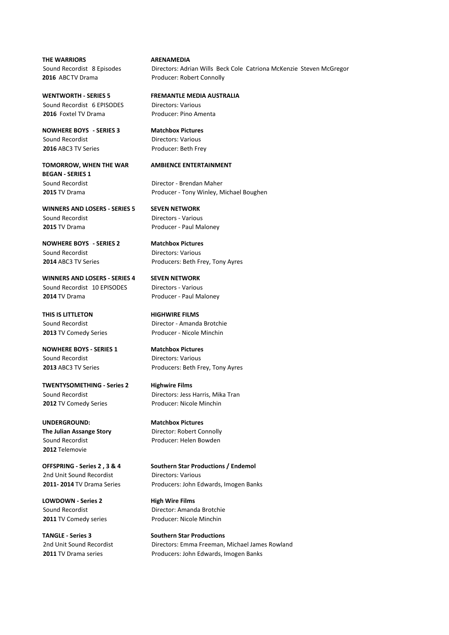**THE WARRIORS ARENAMEDIA 2016** ABCTV Drama **Producer:** Robert Connolly

Sound Recordist 6 FPISODES Directors: Various **2016** Foxtel TV Drama Producer: Pino Amenta

**NOWHERE BOYS - SERIES 3** Matchbox Pictures Sound Recordist **Directors:** Various **2016** ABC3 TV Series Producer: Beth Frey

**BEGAN** - SERIES 1 Sound Recordist **Director** - Brendan Maher

**WINNERS AND LOSERS - SERIES 5 SEVEN NETWORK** Sound Recordist **Directors** - Various **2015** TV Drama **Producer** - Paul Maloney

**NOWHERE BOYS - SERIES 2** Matchbox Pictures Sound Recordist **Directors:** Various

**WINNERS AND LOSERS - SERIES 4 SEVEN NETWORK** Sound Recordist 10 EPISODES Directors - Various **2014** TV Drama **Producer** - Paul Maloney

**THIS IS LITTLETON HIGHWIRE FILMS** 

**NOWHERE BOYS - SERIES 1 Matchbox Pictures** Sound Recordist **Directors:** Various

**TWENTYSOMETHING - Series 2 Highwire Films** Sound Recordist **Directors:** Jess Harris, Mika Tran **2012** TV Comedy Series **Producer:** Nicole Minchin

**2012** Telemovie

2nd Unit Sound Recordist **Directors:** Various

**LOWDOWN** - Series 2 **High Wire Films** 

Sound Recordist 8 Episodes Directors: Adrian Wills Beck Cole Catriona McKenzie Steven McGregor

**WENTWORTH - SERIES 5 FREMANTLE MEDIA AUSTRALIA** 

### **TOMORROW, WHEN THE WAR AMBIENCE ENTERTAINMENT**

**2015** TV Drama **Producer** - Tony Winley, Michael Boughen

**2014** ABC3 TV Series Producers: Beth Frey, Tony Ayres

Sound Recordist **Director** - Amanda Brotchie **2013** TV Comedy Series **Producer** - Nicole Minchin

**2013** ABC3 TV Series **Producers:** Beth Frey, Tony Ayres

**UNDERGROUND: Matchbox Pictures The Julian Assange Story Director:** Robert Connolly Sound Recordist **Accordist** Producer: Helen Bowden

**OFFSPRING** - Series 2, 3 & 4 **Southern Star Productions / Endemol 2011- 2014** TV Drama Series Producers: John Edwards, Imogen Banks

Sound Recordist **Director:** Amanda Brotchie **2011** TV Comedy series Producer: Nicole Minchin

**TANGLE** - Series 3 Southern Star Productions 2nd Unit Sound Recordist **Directors:** Emma Freeman, Michael James Rowland **2011** TV Drama series **Producers:** John Edwards, Imogen Banks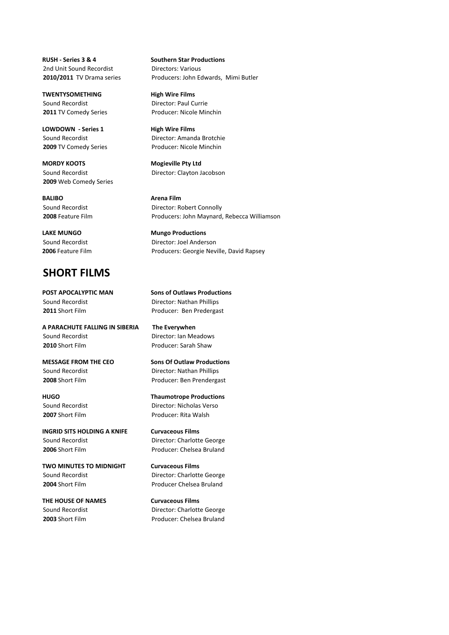**RUSH - Series 3 & 4 Southern Star Productions** 2nd Unit Sound Recordist **Directors:** Various

**TWENTYSOMETHING High Wire Films** Sound Recordist **Director:** Paul Currie

**LOWDOWN** - Series 1 **High Wire Films** 

**MORDY KOOTS MORDY KOOTS MORDY MORDY KOOTS 2009** Web Comedy Series

**BALIBO Arena Film** 

**LAKE MUNGO Mungo Productions** 

## **SHORT FILMS**

Sound Recordist **Director:** Nathan Phillips

**A PARACHUTE FALLING IN SIBERIA The Everywhen** Sound Recordist **Director:** Ian Meadows **2010** Short Film **Producer:** Sarah Shaw

Sound Recordist **Director:** Nathan Phillips

**INGRID SITS HOLDING A KNIFE Curvaceous Films** Sound Recordist **Director:** Charlotte George **2006** Short Film **Producer:** Chelsea Bruland

**TWO MINUTES TO MIDNIGHT Curvaceous Films** Sound Recordist **Director:** Charlotte George **2004** Short Film **Producer Chelsea Bruland** 

**THE HOUSE OF NAMES Curvaceous Films** 

**2010/2011** TV Drama series Producers: John Edwards, Mimi Butler

**2011** TV Comedy Series Producer: Nicole Minchin

Sound Recordist **Director:** Amanda Brotchie **2009** TV Comedy Series **Producer:** Nicole Minchin

Sound Recordist **Director:** Clayton Jacobson

Sound Recordist **Director:** Robert Connolly **2008** Feature Film **Producers:** John Maynard, Rebecca Williamson

Sound Recordist **Director:** Joel Anderson **2006** Feature Film **Producers:** Georgie Neville, David Rapsey

**POST APOCALYPTIC MAN Sons of Outlaws Productions 2011** Short Film Producer: Ben Predergast

**MESSAGE FROM THE CEO** Sons Of Outlaw Productions **2008** Short Film **Producer:** Ben Prendergast

**HUGO Thaumotrope Productions** Sound Recordist **Director:** Nicholas Verso **2007** Short Film **Producer:** Rita Walsh

Sound Recordist **Director:** Charlotte George **2003** Short Film **Producer:** Chelsea Bruland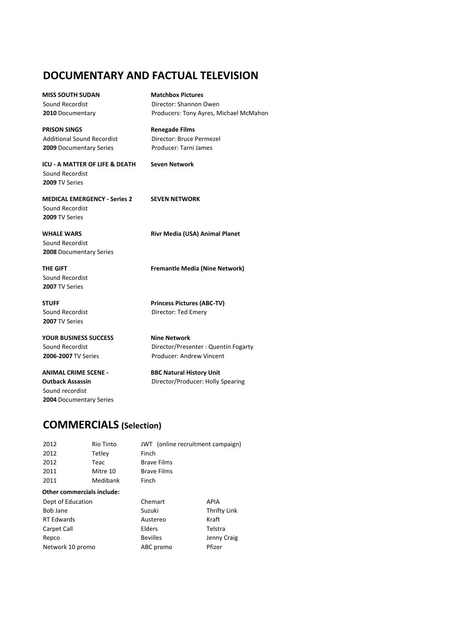# **DOCUMENTARY AND FACTUAL TELEVISION**

**MISS SOUTH SUDAN Matchbox Pictures** 

**PRISON SINGS Renegade Films** Additional Sound Recordist Director: Bruce Permezel **2009** Documentary Series Producer: Tarni James

**ICU - A MATTER OF LIFE & DEATH Seven Network** Sound Recordist **2009** TV Series

**MEDICAL EMERGENCY - Series 2 SEVEN NETWORK** Sound Recordist **2009** TV Series

Sound Recordist **2008** Documentary Series

Sound Recordist **2007** TV Series

**2007** TV Series

**YOUR BUSINESS SUCCESS MINUS NINE Network** 

**ANIMAL CRIME SCENE - BBC Natural History Unit** Sound recordist **2004** Documentary Series

Sound Recordist **Director:** Shannon Owen **2010** Documentary **Producers:** Tony Ayres, Michael McMahon

**WHALE WARS Rivr Media (USA) Animal Planet** 

**THE GIFT Fremantle Media (Nine Network)** 

**STUFF Princess Pictures (ABC-TV)** Sound Recordist **Director:** Ted Emery

Sound Recordist **Director/Presenter** : Quentin Fogarty **2006-2007** TV Series **Producer:** Andrew Vincent

**Outback Assassin Director/Producer: Holly Spearing** 

## **COMMERCIALS (Selection)**

| 2012                       | <b>Rio Tinto</b> | JWT (online recruitment campaign) |              |
|----------------------------|------------------|-----------------------------------|--------------|
| 2012                       | Tetley           | Finch                             |              |
| 2012                       | Teac             | <b>Brave Films</b>                |              |
| 2011                       | Mitre 10         | <b>Brave Films</b>                |              |
| 2011                       | Medibank         | Finch                             |              |
| Other commercials include: |                  |                                   |              |
| Dept of Education          |                  | Chemart                           | APIA         |
| Bob Jane                   |                  | Suzuki                            | Thrifty Link |
| <b>RT Edwards</b>          |                  | Austereo                          | Kraft        |
| Carpet Call                |                  | Elders                            | Telstra      |
| Repco                      |                  | <b>Bevilles</b>                   | Jenny Craig  |
| Network 10 promo           |                  | ABC promo                         | Pfizer       |